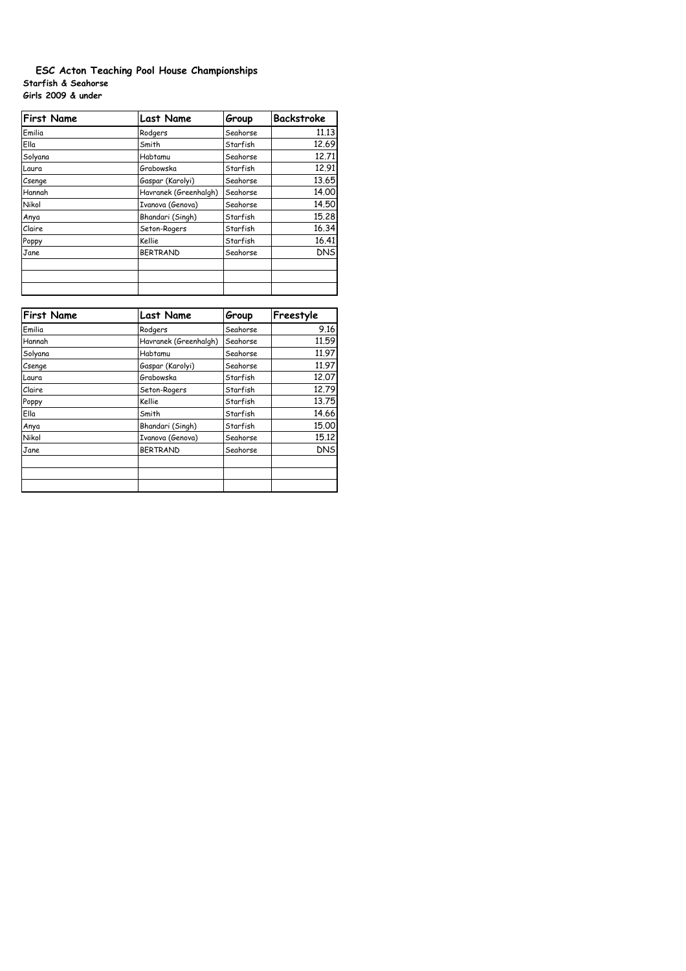# **Starfish & Seahorse Girls 2009 & under ESC Acton Teaching Pool House Championships**

| <b>First Name</b> | <b>Last Name</b>      | Group    | <b>Backstroke</b> |
|-------------------|-----------------------|----------|-------------------|
| Emilia            | Rodgers               | Seahorse | 11.13             |
| Ella              | Smith                 | Starfish | 12.69             |
| Solyana           | Habtamu               | Seahorse | 12.71             |
| Laura             | Grabowska             | Starfish | 12.91             |
| Csenge            | Gaspar (Karolyi)      | Seahorse | 13.65             |
| Hannah            | Havranek (Greenhalgh) | Seahorse | 14.00             |
| Nikol             | Ivanova (Genova)      | Seahorse | 14.50             |
| Anya              | Bhandari (Singh)      | Starfish | 15.28             |
| Claire            | Seton-Rogers          | Starfish | 16.34             |
| Poppy             | Kellie                | Starfish | 16.41             |
| Jane              | <b>BERTRAND</b>       | Seahorse | <b>DNS</b>        |
|                   |                       |          |                   |
|                   |                       |          |                   |
|                   |                       |          |                   |

| <b>First Name</b> | <b>Last Name</b>      | Group    | Freestyle  |
|-------------------|-----------------------|----------|------------|
| Emilia            | Rodgers               | Seahorse | 9.16       |
| Hannah            | Havranek (Greenhalgh) | Seahorse | 11.59      |
| Solyana           | Habtamu               | Seahorse | 11.97      |
| Csenge            | Gaspar (Karolyi)      | Seahorse | 11.97      |
| Laura             | Grabowska             | Starfish | 12.07      |
| Claire            | Seton-Rogers          | Starfish | 12.79      |
| Poppy             | Kellie                | Starfish | 13.75      |
| Ella              | Smith                 | Starfish | 14.66      |
| Anya              | Bhandari (Singh)      | Starfish | 15,00      |
| Nikol             | Ivanova (Genova)      | Seahorse | 15.12      |
| Jane              | <b>BERTRAND</b>       | Seahorse | <b>DNS</b> |
|                   |                       |          |            |
|                   |                       |          |            |
|                   |                       |          |            |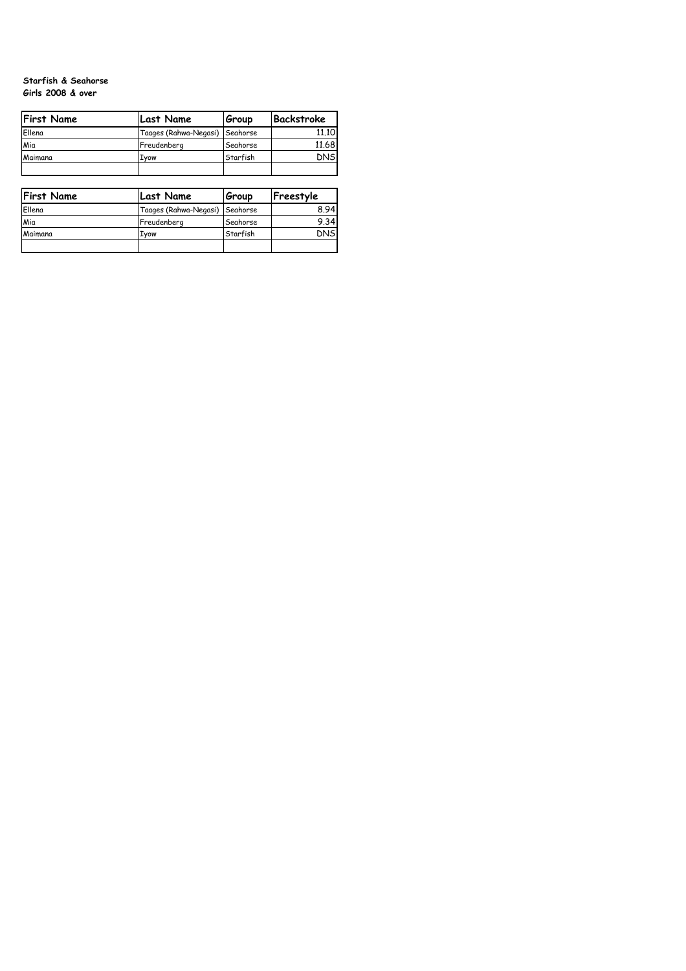## **Starfish & Seahorse Girls 2008 & over**

| <b>First Name</b> | <b>Last Name</b>               | Group    | Backstroke |
|-------------------|--------------------------------|----------|------------|
| Ellena            | Taages (Rahwa-Negasi) Seahorse |          | 11.10      |
| Mia               | Freudenberg                    | Seahorse | 11.68      |
| Maimana           | Ivow                           | Starfish | <b>DNS</b> |
|                   |                                |          |            |

| <b>First Name</b> | <b>Last Name</b>               | Group    | Freestyle  |
|-------------------|--------------------------------|----------|------------|
| Ellena            | Taages (Rahwa-Negasi) Seahorse |          | 8.94       |
| Mia               | Freudenberg                    | Seahorse | 9.34       |
| Maimana           | Ivow                           | Starfish | <b>DNS</b> |
|                   |                                |          |            |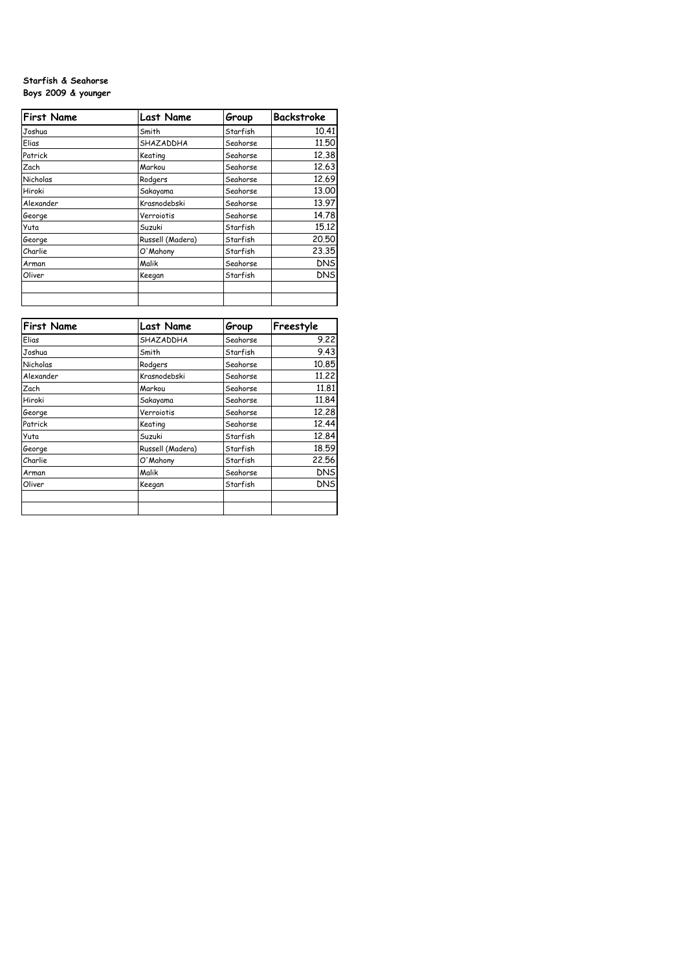## **Starfish & Seahorse Boys 2009 & younger**

| <b>First Name</b> | <b>Last Name</b> | Group    | <b>Backstroke</b> |
|-------------------|------------------|----------|-------------------|
| Joshua            | Smith            | Starfish | 10.41             |
| Elias             | SHAZADDHA        | Seahorse | 11,50             |
| Patrick           | Keating          | Seahorse | 12.38             |
| Zach              | Markou           | Seahorse | 12.63             |
| Nicholas          | Rodgers          | Seahorse | 12.69             |
| Hiroki            | Sakayama         | Seahorse | 13,00             |
| Alexander         | Krasnodebski     | Seahorse | 13.97             |
| George            | Verroiotis       | Seahorse | 14.78             |
| Yuta              | Suzuki           | Starfish | 15.12             |
| George            | Russell (Madera) | Starfish | 20,50             |
| Charlie           | O'Mahony         | Starfish | 23.35             |
| Arman             | Malik            | Seahorse | <b>DNS</b>        |
| Oliver            | Keegan           | Starfish | <b>DNS</b>        |
|                   |                  |          |                   |
|                   |                  |          |                   |

| <b>First Name</b> | <b>Last Name</b> | Group    | Freestyle  |
|-------------------|------------------|----------|------------|
| Elias             | SHAZADDHA        | Seahorse | 9.22       |
| Joshua            | Smith            | Starfish | 9.43       |
| Nicholas          | Rodgers          | Seahorse | 10.85      |
| Alexander         | Krasnodebski     | Seahorse | 11,22      |
| Zach              | Markou           | Seahorse | 11,81      |
| Hiroki            | Sakayama         | Seahorse | 11.84      |
| George            | Verroiotis       | Seahorse | 12,28      |
| Patrick           | Keating          | Seahorse | 12.44      |
| Yuta              | Suzuki           | Starfish | 12.84      |
| George            | Russell (Madera) | Starfish | 18.59      |
| Charlie           | O'Mahony         | Starfish | 22.56      |
| Arman             | Malik            | Seahorse | <b>DNS</b> |
| Oliver            | Keegan           | Starfish | <b>DNS</b> |
|                   |                  |          |            |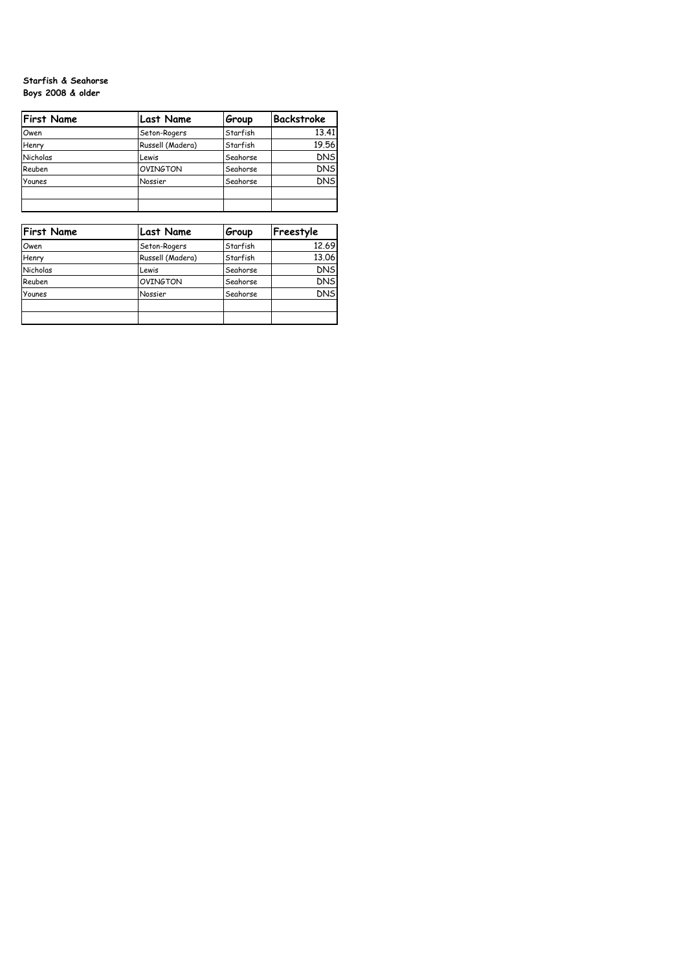## **Starfish & Seahorse Boys 2008 & older**

| <b>First Name</b> | <b>Last Name</b> | Group    | Backstroke |
|-------------------|------------------|----------|------------|
| Owen              | Seton-Rogers     | Starfish | 13.41      |
| Henry             | Russell (Madera) | Starfish | 19.56      |
| Nicholas          | Lewis            | Seahorse | <b>DNS</b> |
| Reuben            | OVINGTON         | Seahorse | <b>DNS</b> |
| Younes            | Nossier          | Seahorse | <b>DNS</b> |
|                   |                  |          |            |
|                   |                  |          |            |

| <b>First Name</b> | <b>Last Name</b> | Group    | Freestyle  |
|-------------------|------------------|----------|------------|
| Owen              | Seton-Rogers     | Starfish | 12.69      |
| Henry             | Russell (Madera) | Starfish | 13.06      |
| Nicholas          | Lewis            | Seahorse | <b>DNS</b> |
| Reuben            | <b>OVINGTON</b>  | Seahorse | <b>DNS</b> |
| Younes            | Nossier          | Seahorse | <b>DNS</b> |
|                   |                  |          |            |
|                   |                  |          |            |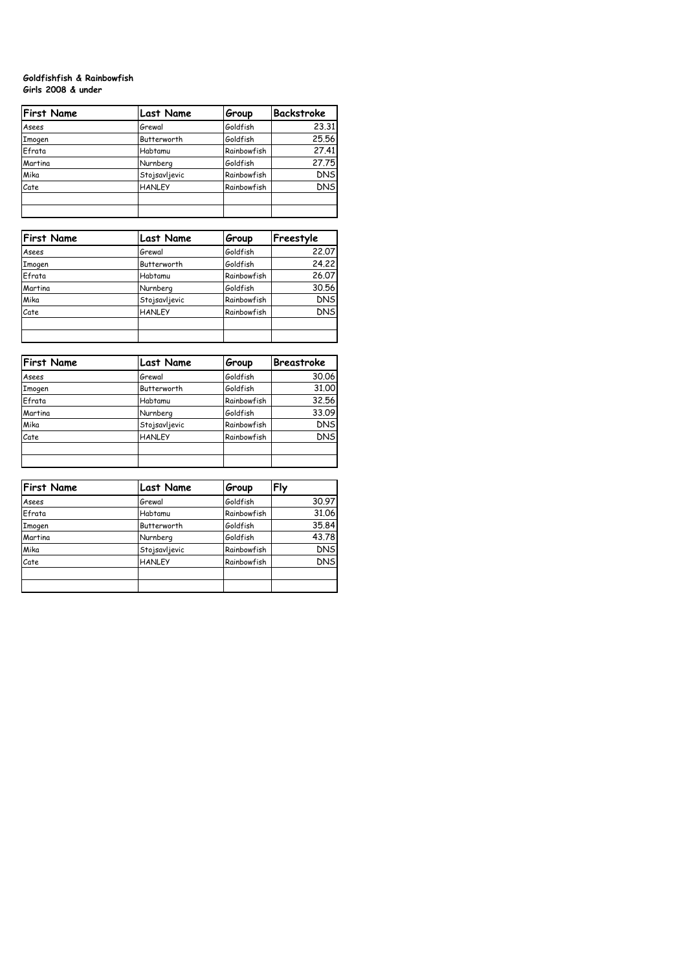# **Goldfishfish & Rainbowfish Girls 2008 & under**

| <b>First Name</b> | <b>Last Name</b> | Group       | Backstroke |
|-------------------|------------------|-------------|------------|
| Asees             | Grewal           | Goldfish    | 23.31      |
| <b>Imogen</b>     | Butterworth      | Goldfish    | 25.56      |
| Efrata            | Habtamu          | Rainbowfish | 27.41      |
| Martina           | Nurnberg         | Goldfish    | 27.75      |
| Mika              | Stojsavljevic    | Rainbowfish | <b>DNS</b> |
| Cate              | <b>HANLEY</b>    | Rainbowfish | <b>DNS</b> |
|                   |                  |             |            |

| <b>First Name</b> | <b>Last Name</b> | Group       | Freestyle  |
|-------------------|------------------|-------------|------------|
| Asees             | Grewal           | Goldfish    | 22,07      |
| Imogen            | Butterworth      | Goldfish    | 24.22      |
| Efrata            | Habtamu          | Rainbowfish | 26.07      |
| Martina           | Nurnberg         | Goldfish    | 30.56      |
| Mika              | Stojsavljevic    | Rainbowfish | <b>DNS</b> |
| Cate              | <b>HANLEY</b>    | Rainbowfish | <b>DNS</b> |
|                   |                  |             |            |
|                   |                  |             |            |

| <b>First Name</b> | <b>Last Name</b> | Group       | <b>Breastroke</b> |
|-------------------|------------------|-------------|-------------------|
| Asees             | Grewal           | Goldfish    | 30.06             |
| <b>Imogen</b>     | Butterworth      | Goldfish    | 31.00             |
| Efrata            | Habtamu          | Rainbowfish | 32.56             |
| Martina           | Nurnberg         | Goldfish    | 33.09             |
| Mika              | Stojsavljevic    | Rainbowfish | <b>DNS</b>        |
| Cate              | <b>HANLEY</b>    | Rainbowfish | <b>DNS</b>        |
|                   |                  |             |                   |
|                   |                  |             |                   |

| <b>First Name</b> | <b>Last Name</b> | Group       | Fly        |
|-------------------|------------------|-------------|------------|
| Asees             | Grewal           | Goldfish    | 30.97      |
| Efrata            | Habtamu          | Rainbowfish | 31.06      |
| Imogen            | Butterworth      | Goldfish    | 35.84      |
| Martina           | Nurnberg         | Goldfish    | 43.78      |
| Mika              | Stojsavljevic    | Rainbowfish | <b>DNS</b> |
| Cate              | <b>HANLEY</b>    | Rainbowfish | <b>DNS</b> |
|                   |                  |             |            |
|                   |                  |             |            |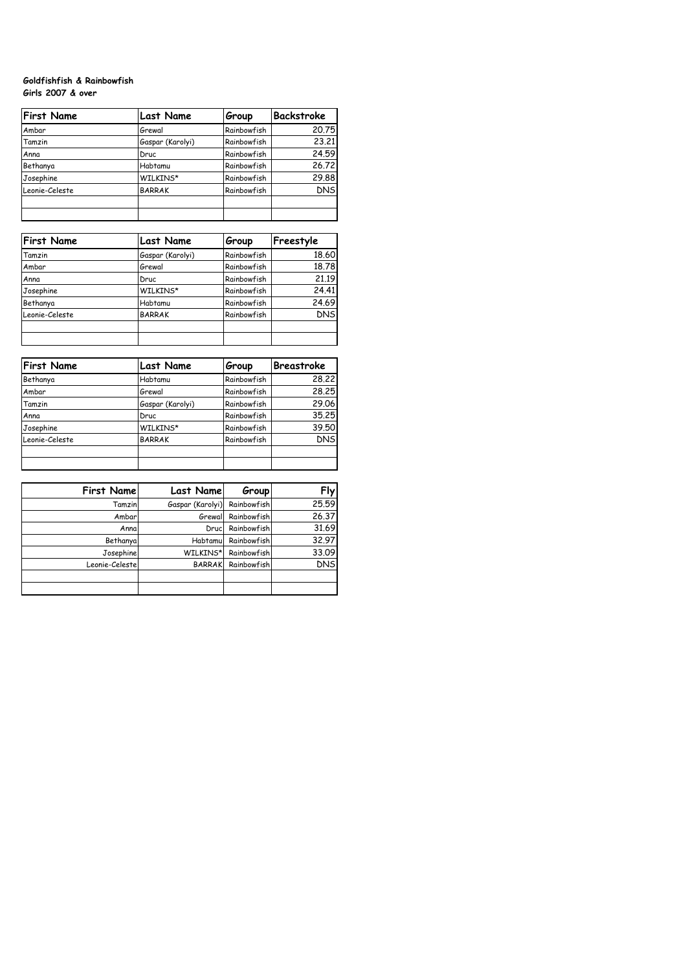## **Goldfishfish & Rainbowfish Girls 2007 & over**

| <b>First Name</b> | <b>Last Name</b> | Group       | Backstroke |
|-------------------|------------------|-------------|------------|
| Ambar             | Grewal           | Rainbowfish | 20.75      |
| Tamzin            | Gaspar (Karolyi) | Rainbowfish | 23.21      |
| Anna              | Druc             | Rainbowfish | 24.59      |
| Bethanya          | Habtamu          | Rainbowfish | 26.72      |
| Josephine         | WILKINS*         | Rainbowfish | 29.88      |
| Leonie-Celeste    | <b>BARRAK</b>    | Rainbowfish | <b>DNS</b> |
|                   |                  |             |            |
|                   |                  |             |            |

| <b>First Name</b> | <b>Last Name</b> | Group       | Freestyle  |
|-------------------|------------------|-------------|------------|
| Tamzin            | Gaspar (Karolyi) | Rainbowfish | 18.60      |
| Ambar             | Grewal           | Rainbowfish | 18.78      |
| Anna              | Druc             | Rainbowfish | 21.19      |
| Josephine         | WILKINS*         | Rainbowfish | 24.41      |
| Bethanya          | Habtamu          | Rainbowfish | 24.69      |
| Leonie-Celeste    | <b>BARRAK</b>    | Rainbowfish | <b>DNS</b> |
|                   |                  |             |            |
|                   |                  |             |            |

| <b>First Name</b> | <b>Last Name</b> | Group              | <b>Breastroke</b> |
|-------------------|------------------|--------------------|-------------------|
| Bethanya          | Habtamu          | Rainbowfish        | 28.22             |
| Ambar             | Grewal           | Rainbowfish        | 28,25             |
| Tamzin            | Gaspar (Karolyi) | Rainbowfish        | 29.06             |
| Anna              | Druc             | Rainbowfish        | 35.25             |
| Josephine         | WILKINS*         | <b>Rainbowfish</b> | 39.50             |
| Leonie-Celeste    | <b>BARRAK</b>    | <b>Rainbowfish</b> | <b>DNS</b>        |
|                   |                  |                    |                   |
|                   |                  |                    |                   |

| <b>First Name</b> | Last Name        | Group       | Fly        |
|-------------------|------------------|-------------|------------|
| Tamzin            | Gaspar (Karolyi) | Rainbowfish | 25.59      |
| Ambar             | Grewall          | Rainbowfish | 26.37      |
| Anna              | Drucl            | Rainbowfish | 31.69      |
| Bethanya          | Habtamul         | Rainbowfish | 32.97      |
| Josephine         | WILKINS*         | Rainbowfish | 33.09      |
| Leonie-Celeste    | <b>BARRAK</b>    | Rainbowfish | <b>DNS</b> |
|                   |                  |             |            |
|                   |                  |             |            |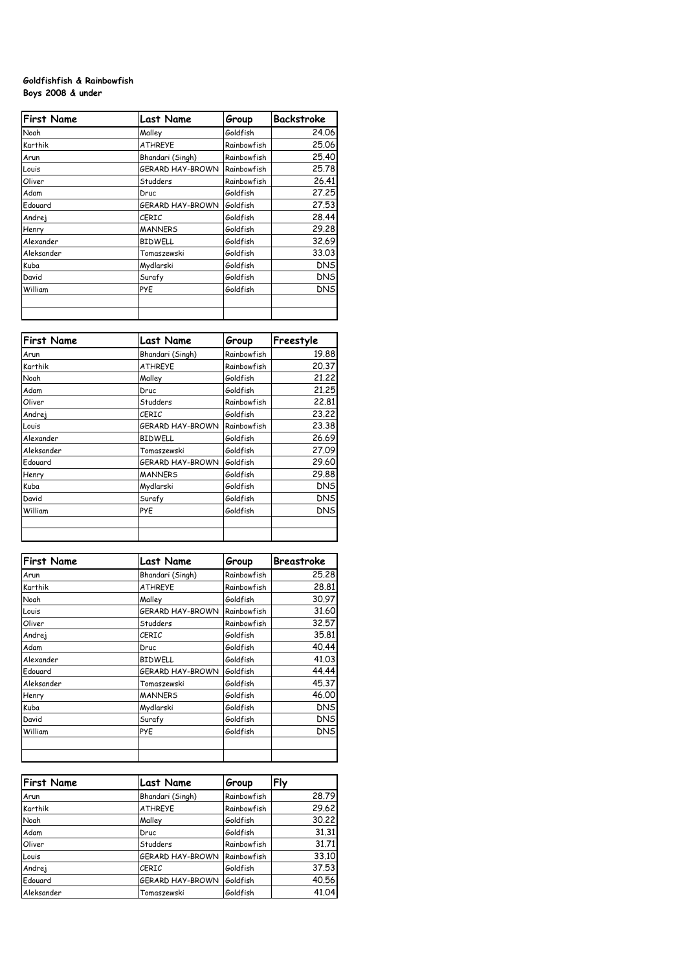## **Goldfishfish & Rainbowfish Boys 2008 & under**

| <b>First Name</b> | <b>Last Name</b> | Group       | <b>Backstroke</b> |
|-------------------|------------------|-------------|-------------------|
| Noah              | Malley           | Goldfish    | 24.06             |
| Karthik           | <b>ATHREYE</b>   | Rainbowfish | 25,06             |
| Arun              | Bhandari (Singh) | Rainbowfish | 25.40             |
| Louis             | GERARD HAY-BROWN | Rainbowfish | 25.78             |
| Oliver            | Studders         | Rainbowfish | 26.41             |
| Adam              | Druc             | Goldfish    | 27,25             |
| Edouard           | GERARD HAY-BROWN | Goldfish    | 27.53             |
| Andrej            | CERIC            | Goldfish    | 28.44             |
| Henry             | <b>MANNERS</b>   | Goldfish    | 29,28             |
| Alexander         | <b>BIDWELL</b>   | Goldfish    | 32.69             |
| Aleksander        | Tomaszewski      | Goldfish    | 33.03             |
| Kuba              | Mydlarski        | Goldfish    | <b>DNS</b>        |
| David             | Surafy           | Goldfish    | <b>DNS</b>        |
| William           | PYE              | Goldfish    | <b>DNS</b>        |
|                   |                  |             |                   |

| <b>First Name</b> | <b>Last Name</b> | Group       | Freestyle  |
|-------------------|------------------|-------------|------------|
| Arun              | Bhandari (Singh) | Rainbowfish | 19.88      |
| Karthik           | <b>ATHREYE</b>   | Rainbowfish | 20.37      |
| Noah              | Malley           | Goldfish    | 21.22      |
| Adam              | Druc             | Goldfish    | 21,25      |
| Oliver            | Studders         | Rainbowfish | 22,81      |
| Andrej            | CERIC            | Goldfish    | 23,22      |
| Louis             | GERARD HAY-BROWN | Rainbowfish | 23,38      |
| Alexander         | <b>BIDWELL</b>   | Goldfish    | 26.69      |
| Aleksander        | Tomaszewski      | Goldfish    | 27.09      |
| Edouard           | GERARD HAY-BROWN | Goldfish    | 29.60      |
| Henry             | <b>MANNERS</b>   | Goldfish    | 29.88      |
| Kuba              | Mydlarski        | Goldfish    | <b>DNS</b> |
| David             | Surafy           | Goldfish    | <b>DNS</b> |
| William           | PYE              | Goldfish    | <b>DNS</b> |
|                   |                  |             |            |
|                   |                  |             |            |

| <b>First Name</b> | <b>Last Name</b> | Group       | <b>Breastroke</b> |
|-------------------|------------------|-------------|-------------------|
| Arun              | Bhandari (Singh) | Rainbowfish | 25.28             |
| Karthik           | <b>ATHREYE</b>   | Rainbowfish | 28,81             |
| Noah              | Malley           | Goldfish    | 30.97             |
| Louis             | GERARD HAY-BROWN | Rainbowfish | 31.60             |
| Oliver            | Studders         | Rainbowfish | 32.57             |
| Andrej            | CERIC            | Goldfish    | 35.81             |
| Adam              | Druc             | Goldfish    | 40.44             |
| Alexander         | <b>BIDWELL</b>   | Goldfish    | 41.03             |
| Edouard           | GERARD HAY-BROWN | Goldfish    | 44.44             |
| Aleksander        | Tomaszewski      | Goldfish    | 45.37             |
| Henry             | <b>MANNERS</b>   | Goldfish    | 46.00             |
| Kuba              | Mydlarski        | Goldfish    | <b>DNS</b>        |
| David             | Surafy           | Goldfish    | <b>DNS</b>        |
| William           | PYE              | Goldfish    | <b>DNS</b>        |
|                   |                  |             |                   |
|                   |                  |             |                   |

| <b>First Name</b> | <b>Last Name</b> | Group       | Fly   |
|-------------------|------------------|-------------|-------|
| Arun              | Bhandari (Singh) | Rainbowfish | 28.79 |
| Karthik           | <b>ATHREYE</b>   | Rainbowfish | 29.62 |
| Noah              | Malley           | Goldfish    | 30.22 |
| Adam              | Druc             | Goldfish    | 31.31 |
| Oliver            | Studders         | Rainbowfish | 31.71 |
| Louis             | GERARD HAY-BROWN | Rainbowfish | 33.10 |
| Andrej            | <b>CERIC</b>     | Goldfish    | 37.53 |
| Edouard           | GERARD HAY-BROWN | Goldfish    | 40.56 |
| Aleksander        | Tomaszewski      | Goldfish    | 41.04 |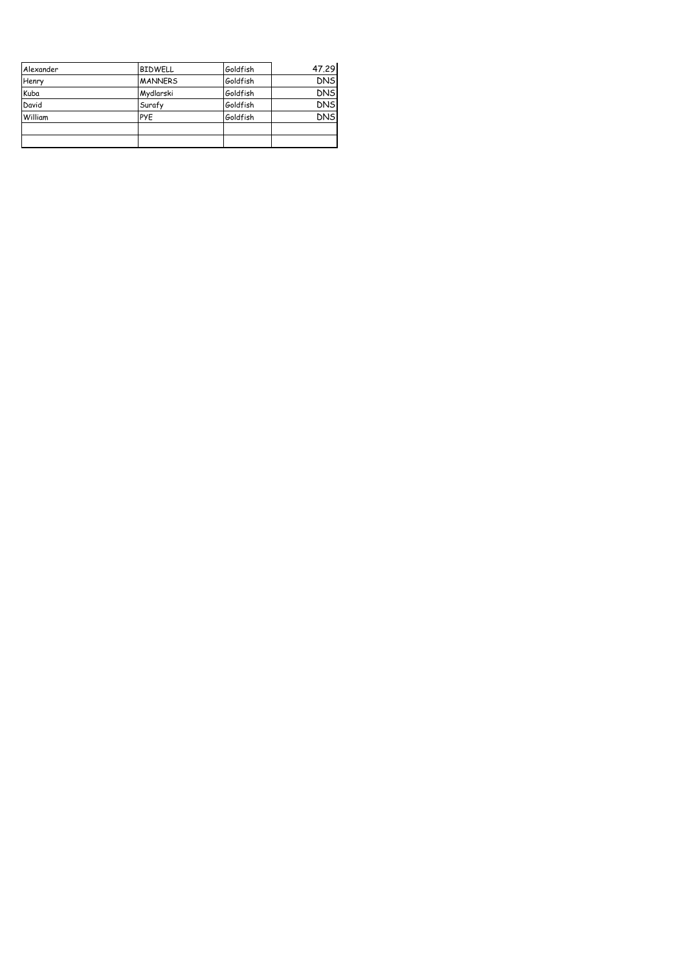| Alexander | <b>BIDWELL</b> | lGoldfish | 47.29      |
|-----------|----------------|-----------|------------|
| Henry     | <b>MANNERS</b> | lGoldfish | <b>DNS</b> |
| Kuba      | Mydlarski      | Goldfish  | <b>DNS</b> |
| David     | Surafy         | Goldfish  | <b>DNS</b> |
| William   | <b>PYE</b>     | Goldfish  | <b>DNS</b> |
|           |                |           |            |
|           |                |           |            |